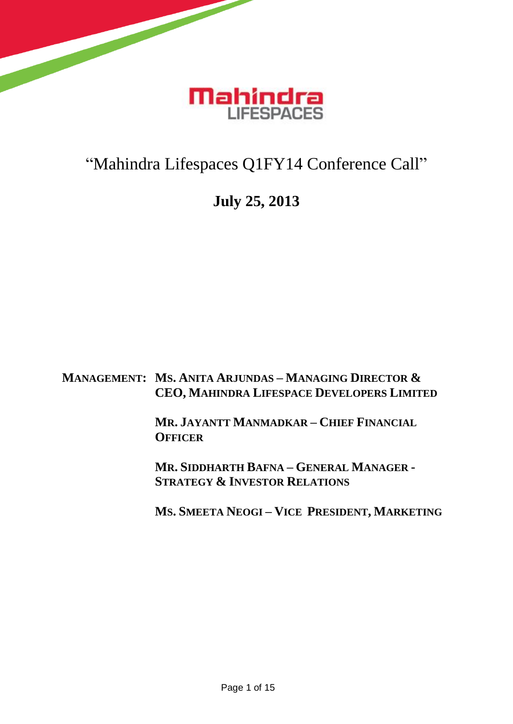

## "Mahindra Lifespaces Q1FY14 Conference Call"

## **July 25, 2013**

**MANAGEMENT: MS. ANITA ARJUNDAS – MANAGING DIRECTOR & CEO, MAHINDRA LIFESPACE DEVELOPERS LIMITED**

> **MR. JAYANTT MANMADKAR – CHIEF FINANCIAL OFFICER**

> **MR. SIDDHARTH BAFNA – GENERAL MANAGER - STRATEGY & INVESTOR RELATIONS**

**MS. SMEETA NEOGI – VICE PRESIDENT, MARKETING**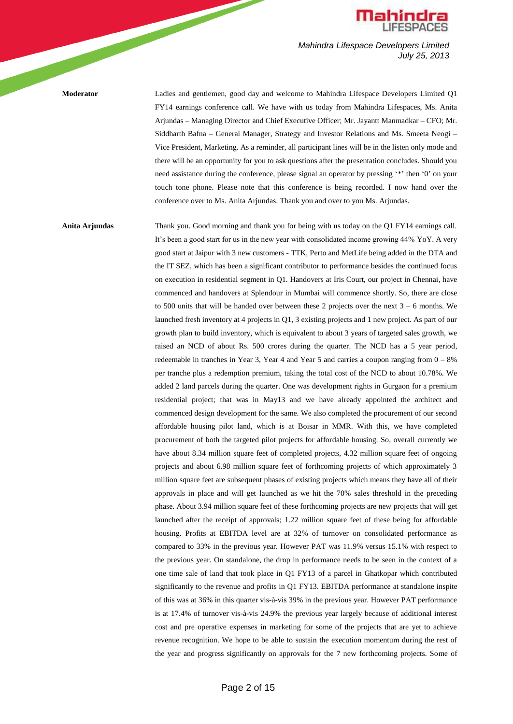

**Moderator** Ladies and gentlemen, good day and welcome to Mahindra Lifespace Developers Limited Q1 FY14 earnings conference call. We have with us today from Mahindra Lifespaces, Ms. Anita Arjundas – Managing Director and Chief Executive Officer; Mr. Jayantt Manmadkar – CFO; Mr. Siddharth Bafna – General Manager, Strategy and Investor Relations and Ms. Smeeta Neogi – Vice President, Marketing. As a reminder, all participant lines will be in the listen only mode and there will be an opportunity for you to ask questions after the presentation concludes. Should you need assistance during the conference, please signal an operator by pressing '\*' then '0' on your touch tone phone. Please note that this conference is being recorded. I now hand over the conference over to Ms. Anita Arjundas. Thank you and over to you Ms. Arjundas.

**Anita Arjundas** Thank you. Good morning and thank you for being with us today on the Q1 FY14 earnings call. It's been a good start for us in the new year with consolidated income growing 44% YoY. A very good start at Jaipur with 3 new customers - TTK, Perto and MetLife being added in the DTA and the IT SEZ, which has been a significant contributor to performance besides the continued focus on execution in residential segment in Q1. Handovers at Iris Court, our project in Chennai, have commenced and handovers at Splendour in Mumbai will commence shortly. So, there are close to 500 units that will be handed over between these 2 projects over the next  $3 - 6$  months. We launched fresh inventory at 4 projects in Q1, 3 existing projects and 1 new project. As part of our growth plan to build inventory, which is equivalent to about 3 years of targeted sales growth, we raised an NCD of about Rs. 500 crores during the quarter. The NCD has a 5 year period, redeemable in tranches in Year 3, Year 4 and Year 5 and carries a coupon ranging from  $0 - 8\%$ per tranche plus a redemption premium, taking the total cost of the NCD to about 10.78%. We added 2 land parcels during the quarter. One was development rights in Gurgaon for a premium residential project; that was in May13 and we have already appointed the architect and commenced design development for the same. We also completed the procurement of our second affordable housing pilot land, which is at Boisar in MMR. With this, we have completed procurement of both the targeted pilot projects for affordable housing. So, overall currently we have about 8.34 million square feet of completed projects, 4.32 million square feet of ongoing projects and about 6.98 million square feet of forthcoming projects of which approximately 3 million square feet are subsequent phases of existing projects which means they have all of their approvals in place and will get launched as we hit the 70% sales threshold in the preceding phase. About 3.94 million square feet of these forthcoming projects are new projects that will get launched after the receipt of approvals; 1.22 million square feet of these being for affordable housing. Profits at EBITDA level are at 32% of turnover on consolidated performance as compared to 33% in the previous year. However PAT was 11.9% versus 15.1% with respect to the previous year. On standalone, the drop in performance needs to be seen in the context of a one time sale of land that took place in Q1 FY13 of a parcel in Ghatkopar which contributed significantly to the revenue and profits in Q1 FY13. EBITDA performance at standalone inspite of this was at 36% in this quarter vis-à-vis 39% in the previous year. However PAT performance is at 17.4% of turnover vis-à-vis 24.9% the previous year largely because of additional interest cost and pre operative expenses in marketing for some of the projects that are yet to achieve revenue recognition. We hope to be able to sustain the execution momentum during the rest of the year and progress significantly on approvals for the 7 new forthcoming projects. Some of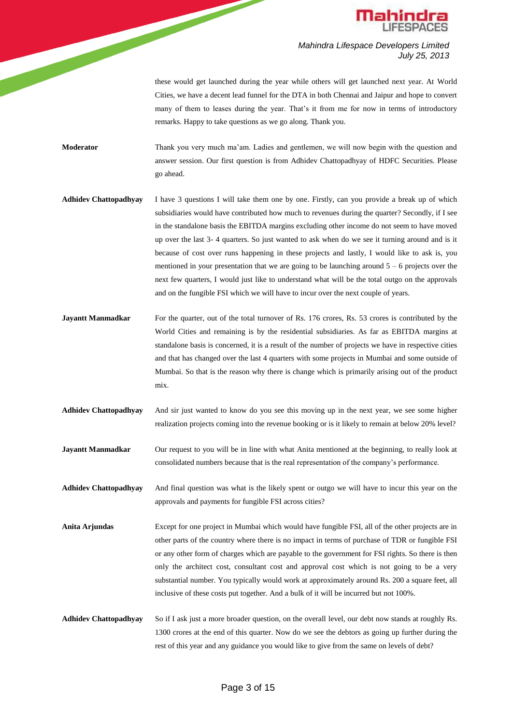

these would get launched during the year while others will get launched next year. At World Cities, we have a decent lead funnel for the DTA in both Chennai and Jaipur and hope to convert many of them to leases during the year. That's it from me for now in terms of introductory remarks. Happy to take questions as we go along. Thank you.

**Moderator** Thank you very much ma'am. Ladies and gentlemen, we will now begin with the question and answer session. Our first question is from Adhidev Chattopadhyay of HDFC Securities. Please go ahead.

- **Adhidev Chattopadhyay** I have 3 questions I will take them one by one. Firstly, can you provide a break up of which subsidiaries would have contributed how much to revenues during the quarter? Secondly, if I see in the standalone basis the EBITDA margins excluding other income do not seem to have moved up over the last 3- 4 quarters. So just wanted to ask when do we see it turning around and is it because of cost over runs happening in these projects and lastly, I would like to ask is, you mentioned in your presentation that we are going to be launching around  $5 - 6$  projects over the next few quarters, I would just like to understand what will be the total outgo on the approvals and on the fungible FSI which we will have to incur over the next couple of years.
- **Jayantt Manmadkar** For the quarter, out of the total turnover of Rs. 176 crores, Rs. 53 crores is contributed by the World Cities and remaining is by the residential subsidiaries. As far as EBITDA margins at standalone basis is concerned, it is a result of the number of projects we have in respective cities and that has changed over the last 4 quarters with some projects in Mumbai and some outside of Mumbai. So that is the reason why there is change which is primarily arising out of the product mix.
- **Adhidev Chattopadhyay** And sir just wanted to know do you see this moving up in the next year, we see some higher realization projects coming into the revenue booking or is it likely to remain at below 20% level?
- **Jayantt Manmadkar** Our request to you will be in line with what Anita mentioned at the beginning, to really look at consolidated numbers because that is the real representation of the company's performance.

**Adhidev Chattopadhyay** And final question was what is the likely spent or outgo we will have to incur this year on the approvals and payments for fungible FSI across cities?

**Anita Arjundas** Except for one project in Mumbai which would have fungible FSI, all of the other projects are in other parts of the country where there is no impact in terms of purchase of TDR or fungible FSI or any other form of charges which are payable to the government for FSI rights. So there is then only the architect cost, consultant cost and approval cost which is not going to be a very substantial number. You typically would work at approximately around Rs. 200 a square feet, all inclusive of these costs put together. And a bulk of it will be incurred but not 100%.

**Adhidev Chattopadhyay** So if I ask just a more broader question, on the overall level, our debt now stands at roughly Rs. 1300 crores at the end of this quarter. Now do we see the debtors as going up further during the rest of this year and any guidance you would like to give from the same on levels of debt?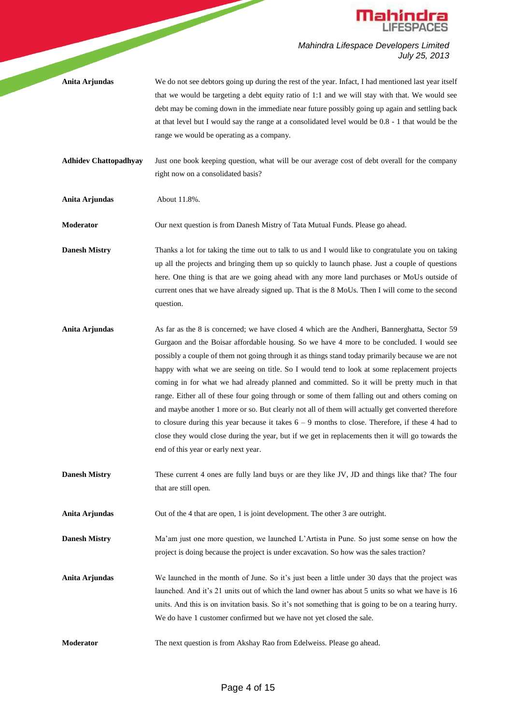

**Anita Arjundas** We do not see debtors going up during the rest of the year. Infact, I had mentioned last year itself that we would be targeting a debt equity ratio of 1:1 and we will stay with that. We would see debt may be coming down in the immediate near future possibly going up again and settling back at that level but I would say the range at a consolidated level would be 0.8 - 1 that would be the range we would be operating as a company.

**Adhidev Chattopadhyay** Just one book keeping question, what will be our average cost of debt overall for the company right now on a consolidated basis?

**Anita Arjundas** About 11.8%.

**Moderator** Our next question is from Danesh Mistry of Tata Mutual Funds. Please go ahead.

**Danesh Mistry** Thanks a lot for taking the time out to talk to us and I would like to congratulate you on taking up all the projects and bringing them up so quickly to launch phase. Just a couple of questions here. One thing is that are we going ahead with any more land purchases or MoUs outside of current ones that we have already signed up. That is the 8 MoUs. Then I will come to the second question.

**Anita Arjundas** As far as the 8 is concerned; we have closed 4 which are the Andheri, Bannerghatta, Sector 59 Gurgaon and the Boisar affordable housing. So we have 4 more to be concluded. I would see possibly a couple of them not going through it as things stand today primarily because we are not happy with what we are seeing on title. So I would tend to look at some replacement projects coming in for what we had already planned and committed. So it will be pretty much in that range. Either all of these four going through or some of them falling out and others coming on and maybe another 1 more or so. But clearly not all of them will actually get converted therefore to closure during this year because it takes  $6 - 9$  months to close. Therefore, if these 4 had to close they would close during the year, but if we get in replacements then it will go towards the end of this year or early next year.

**Danesh Mistry** These current 4 ones are fully land buys or are they like JV, JD and things like that? The four that are still open.

**Anita Arjundas** Out of the 4 that are open, 1 is joint development. The other 3 are outright.

**Danesh Mistry** Ma'am just one more question, we launched L'Artista in Pune. So just some sense on how the project is doing because the project is under excavation. So how was the sales traction?

**Anita Arjundas** We launched in the month of June. So it's just been a little under 30 days that the project was launched. And it's 21 units out of which the land owner has about 5 units so what we have is 16 units. And this is on invitation basis. So it's not something that is going to be on a tearing hurry. We do have 1 customer confirmed but we have not yet closed the sale.

**Moderator** The next question is from Akshay Rao from Edelweiss. Please go ahead.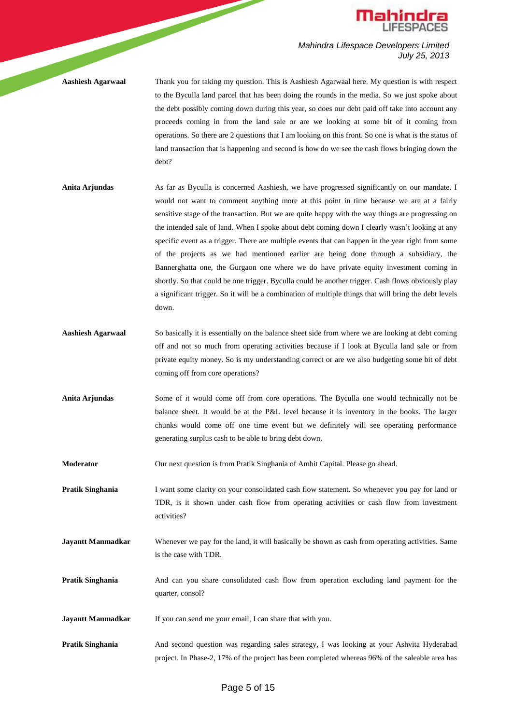

**Aashiesh Agarwaal** Thank you for taking my question. This is Aashiesh Agarwaal here. My question is with respect to the Byculla land parcel that has been doing the rounds in the media. So we just spoke about the debt possibly coming down during this year, so does our debt paid off take into account any proceeds coming in from the land sale or are we looking at some bit of it coming from operations. So there are 2 questions that I am looking on this front. So one is what is the status of land transaction that is happening and second is how do we see the cash flows bringing down the debt?

- **Anita Arjundas** As far as Byculla is concerned Aashiesh, we have progressed significantly on our mandate. I would not want to comment anything more at this point in time because we are at a fairly sensitive stage of the transaction. But we are quite happy with the way things are progressing on the intended sale of land. When I spoke about debt coming down I clearly wasn't looking at any specific event as a trigger. There are multiple events that can happen in the year right from some of the projects as we had mentioned earlier are being done through a subsidiary, the Bannerghatta one, the Gurgaon one where we do have private equity investment coming in shortly. So that could be one trigger. Byculla could be another trigger. Cash flows obviously play a significant trigger. So it will be a combination of multiple things that will bring the debt levels down.
- **Aashiesh Agarwaal** So basically it is essentially on the balance sheet side from where we are looking at debt coming off and not so much from operating activities because if I look at Byculla land sale or from private equity money. So is my understanding correct or are we also budgeting some bit of debt coming off from core operations?
- **Anita Arjundas** Some of it would come off from core operations. The Byculla one would technically not be balance sheet. It would be at the P&L level because it is inventory in the books. The larger chunks would come off one time event but we definitely will see operating performance generating surplus cash to be able to bring debt down.

**Moderator** Our next question is from Pratik Singhania of Ambit Capital. Please go ahead.

**Pratik Singhania** I want some clarity on your consolidated cash flow statement. So whenever you pay for land or TDR, is it shown under cash flow from operating activities or cash flow from investment activities?

**Jayantt Manmadkar** Whenever we pay for the land, it will basically be shown as cash from operating activities. Same is the case with TDR.

**Pratik Singhania** And can you share consolidated cash flow from operation excluding land payment for the quarter, consol?

**Jayantt Manmadkar** If you can send me your email, I can share that with you.

**Pratik Singhania** And second question was regarding sales strategy, I was looking at your Ashvita Hyderabad project. In Phase-2, 17% of the project has been completed whereas 96% of the saleable area has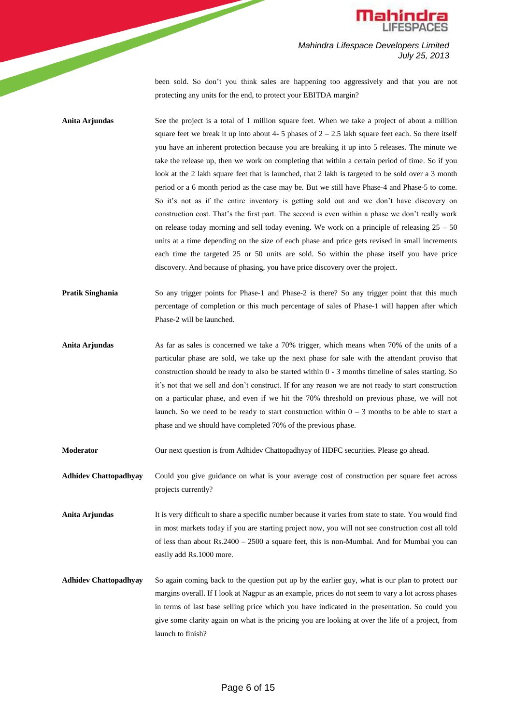

*Mahindra Lifespace Developers Limited July 25, 2013* been sold. So don't you think sales are happening too aggressively and that you are not

protecting any units for the end, to protect your EBITDA margin?

**Anita Arjundas** See the project is a total of 1 million square feet. When we take a project of about a million square feet we break it up into about 4- 5 phases of  $2 - 2.5$  lakh square feet each. So there itself you have an inherent protection because you are breaking it up into 5 releases. The minute we take the release up, then we work on completing that within a certain period of time. So if you look at the 2 lakh square feet that is launched, that 2 lakh is targeted to be sold over a 3 month period or a 6 month period as the case may be. But we still have Phase-4 and Phase-5 to come. So it's not as if the entire inventory is getting sold out and we don't have discovery on construction cost. That's the first part. The second is even within a phase we don't really work on release today morning and sell today evening. We work on a principle of releasing  $25 - 50$ units at a time depending on the size of each phase and price gets revised in small increments each time the targeted 25 or 50 units are sold. So within the phase itself you have price discovery. And because of phasing, you have price discovery over the project.

- **Pratik Singhania** So any trigger points for Phase-1 and Phase-2 is there? So any trigger point that this much percentage of completion or this much percentage of sales of Phase-1 will happen after which Phase-2 will be launched.
- **Anita Arjundas** As far as sales is concerned we take a 70% trigger, which means when 70% of the units of a particular phase are sold, we take up the next phase for sale with the attendant proviso that construction should be ready to also be started within 0 - 3 months timeline of sales starting. So it's not that we sell and don't construct. If for any reason we are not ready to start construction on a particular phase, and even if we hit the 70% threshold on previous phase, we will not launch. So we need to be ready to start construction within  $0 - 3$  months to be able to start a phase and we should have completed 70% of the previous phase.

**Moderator** Our next question is from Adhidev Chattopadhyay of HDFC securities. Please go ahead.

**Adhidev Chattopadhyay** Could you give guidance on what is your average cost of construction per square feet across projects currently?

**Anita Arjundas** It is very difficult to share a specific number because it varies from state to state. You would find in most markets today if you are starting project now, you will not see construction cost all told of less than about Rs.2400 – 2500 a square feet, this is non-Mumbai. And for Mumbai you can easily add Rs.1000 more.

**Adhidev Chattopadhyay** So again coming back to the question put up by the earlier guy, what is our plan to protect our margins overall. If I look at Nagpur as an example, prices do not seem to vary a lot across phases in terms of last base selling price which you have indicated in the presentation. So could you give some clarity again on what is the pricing you are looking at over the life of a project, from launch to finish?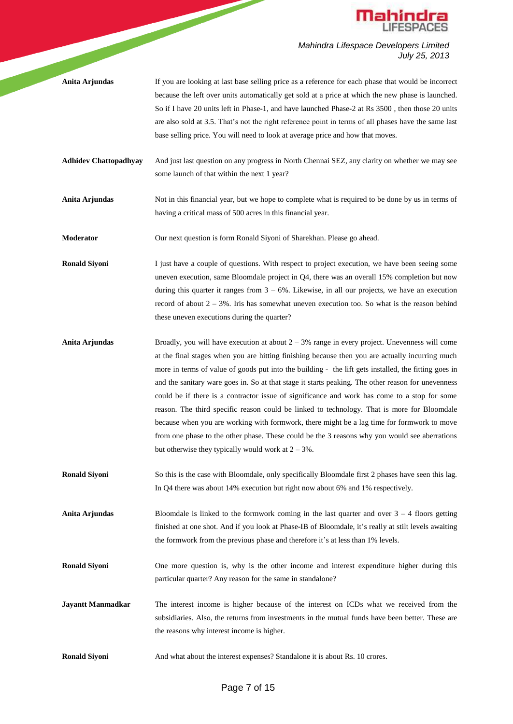

- **Anita Arjundas** If you are looking at last base selling price as a reference for each phase that would be incorrect because the left over units automatically get sold at a price at which the new phase is launched. So if I have 20 units left in Phase-1, and have launched Phase-2 at Rs 3500 , then those 20 units are also sold at 3.5. That's not the right reference point in terms of all phases have the same last base selling price. You will need to look at average price and how that moves.
- **Adhidev Chattopadhyay** And just last question on any progress in North Chennai SEZ, any clarity on whether we may see some launch of that within the next 1 year?
- **Anita Arjundas** Not in this financial year, but we hope to complete what is required to be done by us in terms of having a critical mass of 500 acres in this financial year.
- **Moderator** Our next question is form Ronald Siyoni of Sharekhan. Please go ahead.

**Ronald Siyoni** I just have a couple of questions. With respect to project execution, we have been seeing some uneven execution, same Bloomdale project in Q4, there was an overall 15% completion but now during this quarter it ranges from  $3 - 6\%$ . Likewise, in all our projects, we have an execution record of about  $2 - 3\%$ . Iris has somewhat uneven execution too. So what is the reason behind these uneven executions during the quarter?

- **Anita Arjundas** Broadly, you will have execution at about 2 3% range in every project. Unevenness will come at the final stages when you are hitting finishing because then you are actually incurring much more in terms of value of goods put into the building - the lift gets installed, the fitting goes in and the sanitary ware goes in. So at that stage it starts peaking. The other reason for unevenness could be if there is a contractor issue of significance and work has come to a stop for some reason. The third specific reason could be linked to technology. That is more for Bloomdale because when you are working with formwork, there might be a lag time for formwork to move from one phase to the other phase. These could be the 3 reasons why you would see aberrations but otherwise they typically would work at  $2 - 3\%$ .
- **Ronald Siyoni** So this is the case with Bloomdale, only specifically Bloomdale first 2 phases have seen this lag. In Q4 there was about 14% execution but right now about 6% and 1% respectively.

**Anita Arjundas** Bloomdale is linked to the formwork coming in the last quarter and over 3 – 4 floors getting finished at one shot. And if you look at Phase-IB of Bloomdale, it's really at stilt levels awaiting the formwork from the previous phase and therefore it's at less than 1% levels.

- **Ronald Siyoni** One more question is, why is the other income and interest expenditure higher during this particular quarter? Any reason for the same in standalone?
- **Jayantt Manmadkar** The interest income is higher because of the interest on ICDs what we received from the subsidiaries. Also, the returns from investments in the mutual funds have been better. These are the reasons why interest income is higher.
- **Ronald Siyoni** And what about the interest expenses? Standalone it is about Rs. 10 crores.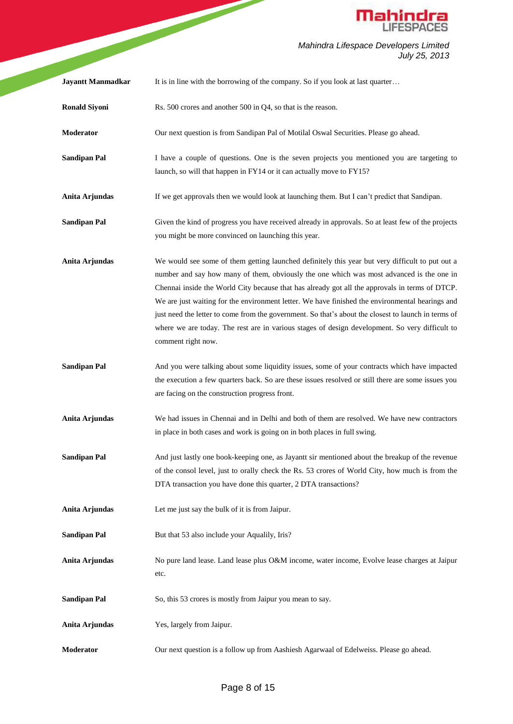

|                          | <b>Mahindra</b>                                                                                                                                                                                                                                                                                                                                                                                                                                                                                                                                                                                                                 |
|--------------------------|---------------------------------------------------------------------------------------------------------------------------------------------------------------------------------------------------------------------------------------------------------------------------------------------------------------------------------------------------------------------------------------------------------------------------------------------------------------------------------------------------------------------------------------------------------------------------------------------------------------------------------|
|                          | Mahindra Lifespace Developers Limited<br>July 25, 2013                                                                                                                                                                                                                                                                                                                                                                                                                                                                                                                                                                          |
| <b>Jayantt Manmadkar</b> | It is in line with the borrowing of the company. So if you look at last quarter                                                                                                                                                                                                                                                                                                                                                                                                                                                                                                                                                 |
| <b>Ronald Siyoni</b>     | Rs. 500 crores and another 500 in Q4, so that is the reason.                                                                                                                                                                                                                                                                                                                                                                                                                                                                                                                                                                    |
| Moderator                | Our next question is from Sandipan Pal of Motilal Oswal Securities. Please go ahead.                                                                                                                                                                                                                                                                                                                                                                                                                                                                                                                                            |
| <b>Sandipan Pal</b>      | I have a couple of questions. One is the seven projects you mentioned you are targeting to<br>launch, so will that happen in FY14 or it can actually move to FY15?                                                                                                                                                                                                                                                                                                                                                                                                                                                              |
| Anita Arjundas           | If we get approvals then we would look at launching them. But I can't predict that Sandipan.                                                                                                                                                                                                                                                                                                                                                                                                                                                                                                                                    |
| <b>Sandipan Pal</b>      | Given the kind of progress you have received already in approvals. So at least few of the projects<br>you might be more convinced on launching this year.                                                                                                                                                                                                                                                                                                                                                                                                                                                                       |
| Anita Arjundas           | We would see some of them getting launched definitely this year but very difficult to put out a<br>number and say how many of them, obviously the one which was most advanced is the one in<br>Chennai inside the World City because that has already got all the approvals in terms of DTCP.<br>We are just waiting for the environment letter. We have finished the environmental hearings and<br>just need the letter to come from the government. So that's about the closest to launch in terms of<br>where we are today. The rest are in various stages of design development. So very difficult to<br>comment right now. |
| <b>Sandipan Pal</b>      | And you were talking about some liquidity issues, some of your contracts which have impacted<br>the execution a few quarters back. So are these issues resolved or still there are some issues you<br>are facing on the construction progress front.                                                                                                                                                                                                                                                                                                                                                                            |
| Anita Arjundas           | We had issues in Chennai and in Delhi and both of them are resolved. We have new contractors<br>in place in both cases and work is going on in both places in full swing.                                                                                                                                                                                                                                                                                                                                                                                                                                                       |
| <b>Sandipan Pal</b>      | And just lastly one book-keeping one, as Jayantt sir mentioned about the breakup of the revenue<br>of the consol level, just to orally check the Rs. 53 crores of World City, how much is from the<br>DTA transaction you have done this quarter, 2 DTA transactions?                                                                                                                                                                                                                                                                                                                                                           |
| Anita Arjundas           | Let me just say the bulk of it is from Jaipur.                                                                                                                                                                                                                                                                                                                                                                                                                                                                                                                                                                                  |
| <b>Sandipan Pal</b>      | But that 53 also include your Aqualily, Iris?                                                                                                                                                                                                                                                                                                                                                                                                                                                                                                                                                                                   |
| Anita Arjundas           | No pure land lease. Land lease plus O&M income, water income, Evolve lease charges at Jaipur<br>etc.                                                                                                                                                                                                                                                                                                                                                                                                                                                                                                                            |
| <b>Sandipan Pal</b>      | So, this 53 crores is mostly from Jaipur you mean to say.                                                                                                                                                                                                                                                                                                                                                                                                                                                                                                                                                                       |
| Anita Arjundas           | Yes, largely from Jaipur.                                                                                                                                                                                                                                                                                                                                                                                                                                                                                                                                                                                                       |
| Moderator                | Our next question is a follow up from Aashiesh Agarwaal of Edelweiss. Please go ahead.                                                                                                                                                                                                                                                                                                                                                                                                                                                                                                                                          |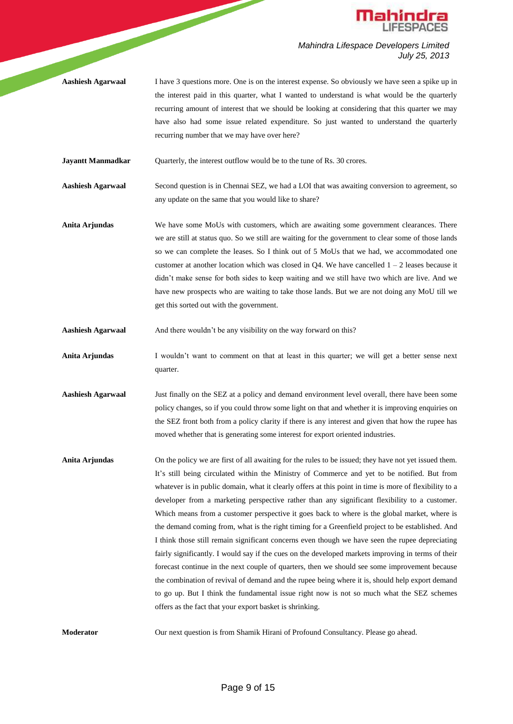

**Aashiesh Agarwaal** I have 3 questions more. One is on the interest expense. So obviously we have seen a spike up in the interest paid in this quarter, what I wanted to understand is what would be the quarterly recurring amount of interest that we should be looking at considering that this quarter we may have also had some issue related expenditure. So just wanted to understand the quarterly recurring number that we may have over here?

**Jayantt Manmadkar** Quarterly, the interest outflow would be to the tune of Rs. 30 crores.

**Aashiesh Agarwaal** Second question is in Chennai SEZ, we had a LOI that was awaiting conversion to agreement, so any update on the same that you would like to share?

- **Anita Arjundas** We have some MoUs with customers, which are awaiting some government clearances. There we are still at status quo. So we still are waiting for the government to clear some of those lands so we can complete the leases. So I think out of 5 MoUs that we had, we accommodated one customer at another location which was closed in  $Q4$ . We have cancelled  $1 - 2$  leases because it didn't make sense for both sides to keep waiting and we still have two which are live. And we have new prospects who are waiting to take those lands. But we are not doing any MoU till we get this sorted out with the government.
- Aashiesh Agarwaal And there wouldn't be any visibility on the way forward on this?

**Anita Arjundas** I wouldn't want to comment on that at least in this quarter; we will get a better sense next quarter.

- **Aashiesh Agarwaal** Just finally on the SEZ at a policy and demand environment level overall, there have been some policy changes, so if you could throw some light on that and whether it is improving enquiries on the SEZ front both from a policy clarity if there is any interest and given that how the rupee has moved whether that is generating some interest for export oriented industries.
- **Anita Arjundas** On the policy we are first of all awaiting for the rules to be issued; they have not yet issued them. It's still being circulated within the Ministry of Commerce and yet to be notified. But from whatever is in public domain, what it clearly offers at this point in time is more of flexibility to a developer from a marketing perspective rather than any significant flexibility to a customer. Which means from a customer perspective it goes back to where is the global market, where is the demand coming from, what is the right timing for a Greenfield project to be established. And I think those still remain significant concerns even though we have seen the rupee depreciating fairly significantly. I would say if the cues on the developed markets improving in terms of their forecast continue in the next couple of quarters, then we should see some improvement because the combination of revival of demand and the rupee being where it is, should help export demand to go up. But I think the fundamental issue right now is not so much what the SEZ schemes offers as the fact that your export basket is shrinking.

**Moderator** Our next question is from Shamik Hirani of Profound Consultancy. Please go ahead.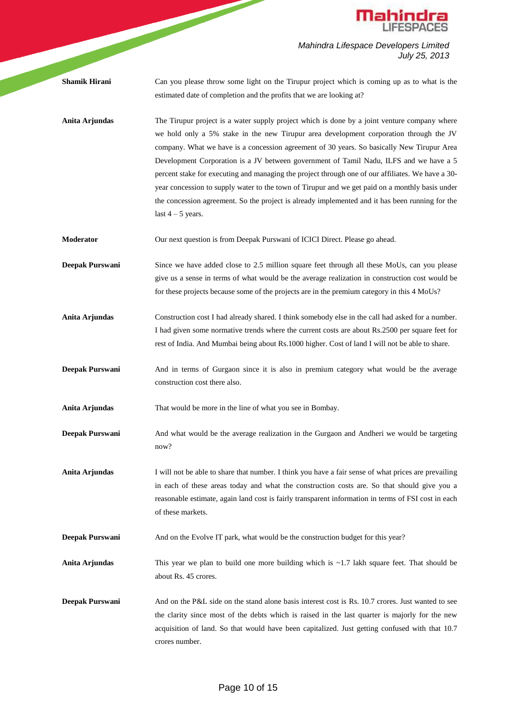

|                      | <b>Mahindra</b>                                                                                                                                                                                                                                                                                                                                                                                                                                                                                                                                                                                                                                                                                                  |
|----------------------|------------------------------------------------------------------------------------------------------------------------------------------------------------------------------------------------------------------------------------------------------------------------------------------------------------------------------------------------------------------------------------------------------------------------------------------------------------------------------------------------------------------------------------------------------------------------------------------------------------------------------------------------------------------------------------------------------------------|
|                      | Mahindra Lifespace Developers Limited<br>July 25, 2013                                                                                                                                                                                                                                                                                                                                                                                                                                                                                                                                                                                                                                                           |
| <b>Shamik Hirani</b> | Can you please throw some light on the Tirupur project which is coming up as to what is the<br>estimated date of completion and the profits that we are looking at?                                                                                                                                                                                                                                                                                                                                                                                                                                                                                                                                              |
| Anita Arjundas       | The Tirupur project is a water supply project which is done by a joint venture company where<br>we hold only a 5% stake in the new Tirupur area development corporation through the JV<br>company. What we have is a concession agreement of 30 years. So basically New Tirupur Area<br>Development Corporation is a JV between government of Tamil Nadu, ILFS and we have a 5<br>percent stake for executing and managing the project through one of our affiliates. We have a 30-<br>year concession to supply water to the town of Tirupur and we get paid on a monthly basis under<br>the concession agreement. So the project is already implemented and it has been running for the<br>last $4 - 5$ years. |
| Moderator            | Our next question is from Deepak Purswani of ICICI Direct. Please go ahead.                                                                                                                                                                                                                                                                                                                                                                                                                                                                                                                                                                                                                                      |
| Deepak Purswani      | Since we have added close to 2.5 million square feet through all these MoUs, can you please<br>give us a sense in terms of what would be the average realization in construction cost would be<br>for these projects because some of the projects are in the premium category in this 4 MoUs?                                                                                                                                                                                                                                                                                                                                                                                                                    |
| Anita Arjundas       | Construction cost I had already shared. I think somebody else in the call had asked for a number.<br>I had given some normative trends where the current costs are about Rs.2500 per square feet for<br>rest of India. And Mumbai being about Rs.1000 higher. Cost of land I will not be able to share.                                                                                                                                                                                                                                                                                                                                                                                                          |
| Deepak Purswani      | And in terms of Gurgaon since it is also in premium category what would be the average<br>construction cost there also.                                                                                                                                                                                                                                                                                                                                                                                                                                                                                                                                                                                          |
| Anita Arjundas       | That would be more in the line of what you see in Bombay.                                                                                                                                                                                                                                                                                                                                                                                                                                                                                                                                                                                                                                                        |
| Deepak Purswani      | And what would be the average realization in the Gurgaon and Andheri we would be targeting<br>now?                                                                                                                                                                                                                                                                                                                                                                                                                                                                                                                                                                                                               |
| Anita Arjundas       | I will not be able to share that number. I think you have a fair sense of what prices are prevailing<br>in each of these areas today and what the construction costs are. So that should give you a<br>reasonable estimate, again land cost is fairly transparent information in terms of FSI cost in each<br>of these markets.                                                                                                                                                                                                                                                                                                                                                                                  |
| Deepak Purswani      | And on the Evolve IT park, what would be the construction budget for this year?                                                                                                                                                                                                                                                                                                                                                                                                                                                                                                                                                                                                                                  |
| Anita Arjundas       | This year we plan to build one more building which is $\sim$ 1.7 lakh square feet. That should be<br>about Rs. 45 crores.                                                                                                                                                                                                                                                                                                                                                                                                                                                                                                                                                                                        |
| Deepak Purswani      | And on the P&L side on the stand alone basis interest cost is Rs. 10.7 crores. Just wanted to see<br>the clarity since most of the debts which is raised in the last quarter is majorly for the new<br>acquisition of land. So that would have been capitalized. Just getting confused with that 10.7<br>crores number.                                                                                                                                                                                                                                                                                                                                                                                          |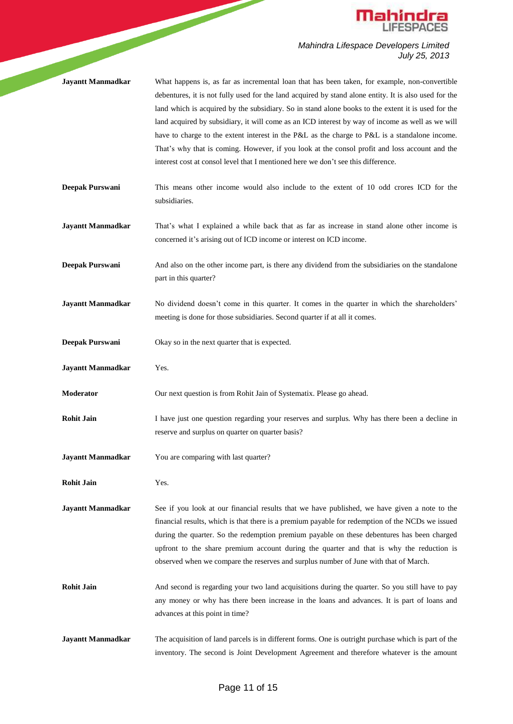

- **Jayantt Manmadkar** What happens is, as far as incremental loan that has been taken, for example, non-convertible debentures, it is not fully used for the land acquired by stand alone entity. It is also used for the land which is acquired by the subsidiary. So in stand alone books to the extent it is used for the land acquired by subsidiary, it will come as an ICD interest by way of income as well as we will have to charge to the extent interest in the P&L as the charge to P&L is a standalone income. That's why that is coming. However, if you look at the consol profit and loss account and the interest cost at consol level that I mentioned here we don't see this difference.
- **Deepak Purswani** This means other income would also include to the extent of 10 odd crores ICD for the subsidiaries.
- **Jayantt Manmadkar** That's what I explained a while back that as far as increase in stand alone other income is concerned it's arising out of ICD income or interest on ICD income.
- **Deepak Purswani** And also on the other income part, is there any dividend from the subsidiaries on the standalone part in this quarter?
- **Jayantt Manmadkar** No dividend doesn't come in this quarter. It comes in the quarter in which the shareholders' meeting is done for those subsidiaries. Second quarter if at all it comes.
- **Deepak Purswani** Okay so in the next quarter that is expected.
- **Jayantt Manmadkar** Yes.
- **Moderator** Our next question is from Rohit Jain of Systematix. Please go ahead.
- **Rohit Jain** I have just one question regarding your reserves and surplus. Why has there been a decline in reserve and surplus on quarter on quarter basis?
- **Jayantt Manmadkar** You are comparing with last quarter?
- **Rohit Jain** Yes.

**Jayantt Manmadkar** See if you look at our financial results that we have published, we have given a note to the financial results, which is that there is a premium payable for redemption of the NCDs we issued during the quarter. So the redemption premium payable on these debentures has been charged upfront to the share premium account during the quarter and that is why the reduction is observed when we compare the reserves and surplus number of June with that of March.

- Rohit Jain And second is regarding your two land acquisitions during the quarter. So you still have to pay any money or why has there been increase in the loans and advances. It is part of loans and advances at this point in time?
- **Jayantt Manmadkar** The acquisition of land parcels is in different forms. One is outright purchase which is part of the inventory. The second is Joint Development Agreement and therefore whatever is the amount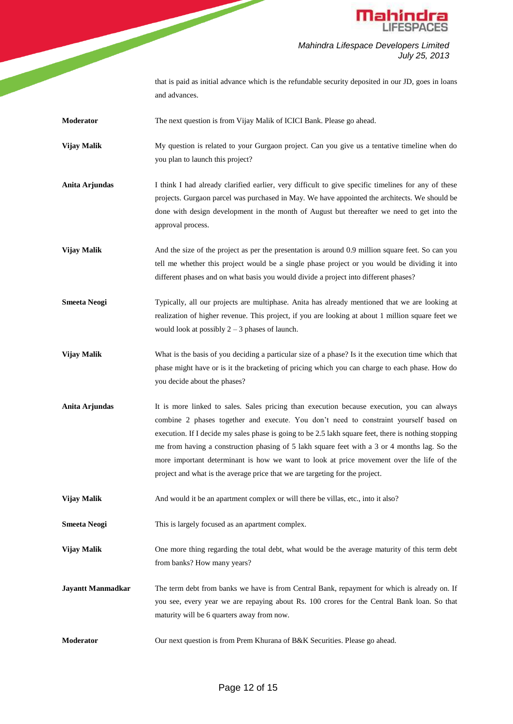

*Mahindra Lifespace Developers Limited July 25, 2013* that is paid as initial advance which is the refundable security deposited in our JD, goes in loans

and advances.

- **Moderator** The next question is from Vijay Malik of ICICI Bank. Please go ahead.
- **Vijay Malik** My question is related to your Gurgaon project. Can you give us a tentative timeline when do you plan to launch this project?
- Anita Arjundas I think I had already clarified earlier, very difficult to give specific timelines for any of these projects. Gurgaon parcel was purchased in May. We have appointed the architects. We should be done with design development in the month of August but thereafter we need to get into the approval process.
- **Vijay Malik** And the size of the project as per the presentation is around 0.9 million square feet. So can you tell me whether this project would be a single phase project or you would be dividing it into different phases and on what basis you would divide a project into different phases?
- **Smeeta Neogi** Typically, all our projects are multiphase. Anita has already mentioned that we are looking at realization of higher revenue. This project, if you are looking at about 1 million square feet we would look at possibly  $2 - 3$  phases of launch.
- **Vijay Malik** What is the basis of you deciding a particular size of a phase? Is it the execution time which that phase might have or is it the bracketing of pricing which you can charge to each phase. How do you decide about the phases?
- **Anita Arjundas** It is more linked to sales. Sales pricing than execution because execution, you can always combine 2 phases together and execute. You don't need to constraint yourself based on execution. If I decide my sales phase is going to be 2.5 lakh square feet, there is nothing stopping me from having a construction phasing of 5 lakh square feet with a 3 or 4 months lag. So the more important determinant is how we want to look at price movement over the life of the project and what is the average price that we are targeting for the project.
- **Vijay Malik** And would it be an apartment complex or will there be villas, etc., into it also?
- **Smeeta Neogi** This is largely focused as an apartment complex.
- **Vijay Malik** One more thing regarding the total debt, what would be the average maturity of this term debt from banks? How many years?
- **Jayantt Manmadkar** The term debt from banks we have is from Central Bank, repayment for which is already on. If you see, every year we are repaying about Rs. 100 crores for the Central Bank loan. So that maturity will be 6 quarters away from now.
- **Moderator** Our next question is from Prem Khurana of B&K Securities. Please go ahead.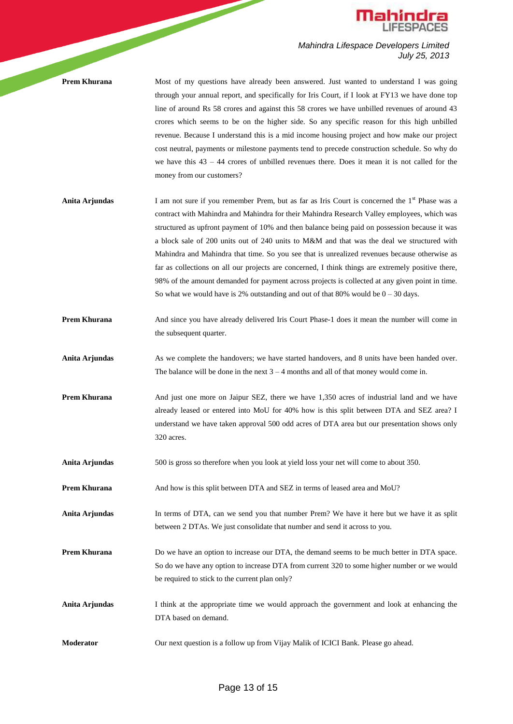

**Prem Khurana** Most of my questions have already been answered. Just wanted to understand I was going through your annual report, and specifically for Iris Court, if I look at FY13 we have done top line of around Rs 58 crores and against this 58 crores we have unbilled revenues of around 43 crores which seems to be on the higher side. So any specific reason for this high unbilled revenue. Because I understand this is a mid income housing project and how make our project cost neutral, payments or milestone payments tend to precede construction schedule. So why do we have this  $43 - 44$  crores of unbilled revenues there. Does it mean it is not called for the money from our customers?

- **Anita Arjundas** I am not sure if you remember Prem, but as far as Iris Court is concerned the 1<sup>st</sup> Phase was a contract with Mahindra and Mahindra for their Mahindra Research Valley employees, which was structured as upfront payment of 10% and then balance being paid on possession because it was a block sale of 200 units out of 240 units to M&M and that was the deal we structured with Mahindra and Mahindra that time. So you see that is unrealized revenues because otherwise as far as collections on all our projects are concerned, I think things are extremely positive there, 98% of the amount demanded for payment across projects is collected at any given point in time. So what we would have is 2% outstanding and out of that 80% would be  $0 - 30$  days.
- **Prem Khurana** And since you have already delivered Iris Court Phase-1 does it mean the number will come in the subsequent quarter.
- **Anita Arjundas** As we complete the handovers; we have started handovers, and 8 units have been handed over. The balance will be done in the next  $3 - 4$  months and all of that money would come in.
- **Prem Khurana** And just one more on Jaipur SEZ, there we have 1,350 acres of industrial land and we have already leased or entered into MoU for 40% how is this split between DTA and SEZ area? I understand we have taken approval 500 odd acres of DTA area but our presentation shows only 320 acres.
- **Anita Arjundas** 500 is gross so therefore when you look at yield loss your net will come to about 350.
- **Prem Khurana** And how is this split between DTA and SEZ in terms of leased area and MoU?
- **Anita Arjundas** In terms of DTA, can we send you that number Prem? We have it here but we have it as split between 2 DTAs. We just consolidate that number and send it across to you.
- **Prem Khurana** Do we have an option to increase our DTA, the demand seems to be much better in DTA space. So do we have any option to increase DTA from current 320 to some higher number or we would be required to stick to the current plan only?
- Anita Arjundas I think at the appropriate time we would approach the government and look at enhancing the DTA based on demand.
- **Moderator** Our next question is a follow up from Vijay Malik of ICICI Bank. Please go ahead.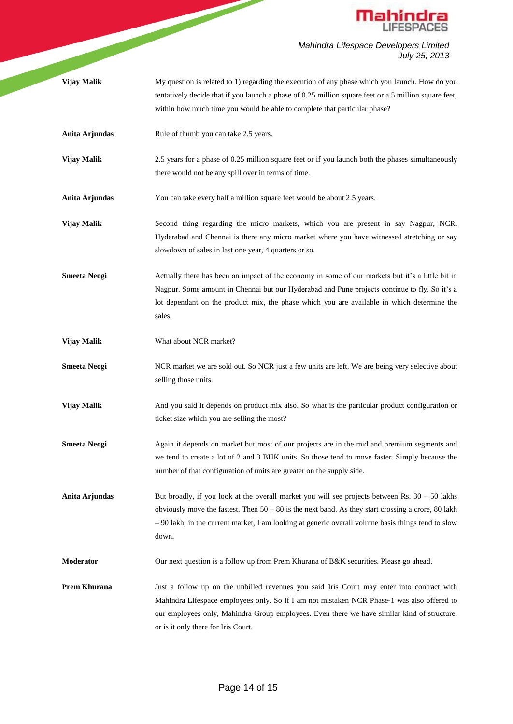

|                     | <b>Mahindra</b><br>LIFESPACES                                                                                                                                                                                                                                                                                                  |
|---------------------|--------------------------------------------------------------------------------------------------------------------------------------------------------------------------------------------------------------------------------------------------------------------------------------------------------------------------------|
|                     | Mahindra Lifespace Developers Limited<br>July 25, 2013                                                                                                                                                                                                                                                                         |
| Vijay Malik         | My question is related to 1) regarding the execution of any phase which you launch. How do you<br>tentatively decide that if you launch a phase of 0.25 million square feet or a 5 million square feet,<br>within how much time you would be able to complete that particular phase?                                           |
| Anita Arjundas      | Rule of thumb you can take 2.5 years.                                                                                                                                                                                                                                                                                          |
| Vijay Malik         | 2.5 years for a phase of 0.25 million square feet or if you launch both the phases simultaneously<br>there would not be any spill over in terms of time.                                                                                                                                                                       |
| Anita Arjundas      | You can take every half a million square feet would be about 2.5 years.                                                                                                                                                                                                                                                        |
| Vijay Malik         | Second thing regarding the micro markets, which you are present in say Nagpur, NCR,<br>Hyderabad and Chennai is there any micro market where you have witnessed stretching or say<br>slowdown of sales in last one year, 4 quarters or so.                                                                                     |
| <b>Smeeta Neogi</b> | Actually there has been an impact of the economy in some of our markets but it's a little bit in<br>Nagpur. Some amount in Chennai but our Hyderabad and Pune projects continue to fly. So it's a<br>lot dependant on the product mix, the phase which you are available in which determine the<br>sales.                      |
| Vijay Malik         | What about NCR market?                                                                                                                                                                                                                                                                                                         |
| <b>Smeeta Neogi</b> | NCR market we are sold out. So NCR just a few units are left. We are being very selective about<br>selling those units.                                                                                                                                                                                                        |
| Vijay Malik         | And you said it depends on product mix also. So what is the particular product configuration or<br>ticket size which you are selling the most?                                                                                                                                                                                 |
| <b>Smeeta Neogi</b> | Again it depends on market but most of our projects are in the mid and premium segments and<br>we tend to create a lot of 2 and 3 BHK units. So those tend to move faster. Simply because the<br>number of that configuration of units are greater on the supply side.                                                         |
| Anita Arjundas      | But broadly, if you look at the overall market you will see projects between Rs. $30 - 50$ lakhs<br>obviously move the fastest. Then $50 - 80$ is the next band. As they start crossing a crore, 80 lakh<br>$-90$ lakh, in the current market, I am looking at generic overall volume basis things tend to slow<br>down.       |
| Moderator           | Our next question is a follow up from Prem Khurana of B&K securities. Please go ahead.                                                                                                                                                                                                                                         |
| <b>Prem Khurana</b> | Just a follow up on the unbilled revenues you said Iris Court may enter into contract with<br>Mahindra Lifespace employees only. So if I am not mistaken NCR Phase-1 was also offered to<br>our employees only, Mahindra Group employees. Even there we have similar kind of structure,<br>or is it only there for Iris Court. |